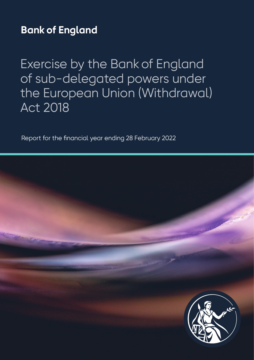## **Bank of England**

Exercise by the Bank of England of sub-delegated powers under the European Union (Withdrawal) Act 2018

Report for the financial year ending 28 February 2022

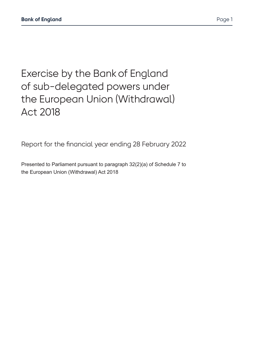Exercise by the Bank of England

of sub-delegated powers under the European Union (Withdrawal) Act 2018

Report for the financial year ending 28 February 2022

Presented to Parliament pursuant to paragraph 32(2)(a) of Schedule 7 to the European Union (Withdrawal) Act 2018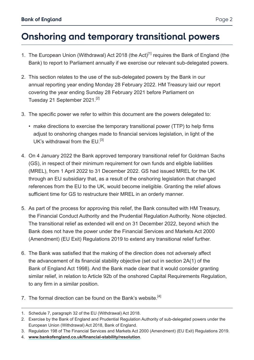## **Onshoring and temporary transitional powers**

- 1. The European Union (Withdrawal) Act 2018 (the Act)<sup>[1]</sup> requires the Bank of England (the Bank) to report to Parliament annually if we exercise our relevant sub-delegated powers.
- 2. This section relates to the use of the sub-delegated powers by the Bank in our annual reporting year ending Monday 28 February 2022. HM Treasury laid our report covering the year ending Sunday 28 February 2021 before Parliament on Tuesday 21 September 2021.<sup>[2]</sup>
- 3. The specific power we refer to within this document are the powers delegated to:
	- make directions to exercise the temporary transitional power (TTP) to help firms adjust to onshoring changes made to financial services legislation, in light of the UK's withdrawal from the EU.<sup>[3]</sup>
- 4. On 4 January 2022 the Bank approved temporary transitional relief for Goldman Sachs (GS), in respect of their minimum requirement for own funds and eligible liabilities (MREL), from 1 April 2022 to 31 December 2022. GS had issued MREL for the UK through an EU subsidiary that, as a result of the onshoring legislation that changed references from the EU to the UK, would become ineligible. Granting the relief allows sufficient time for GS to restructure their MREL in an orderly manner.
- 5. As part of the process for approving this relief, the Bank consulted with HM Treasury. the Financial Conduct Authority and the Prudential Regulation Authority. None objected. The transitional relief as extended will end on 31 December 2022, beyond which the Bank does not have the power under the Financial Services and Markets Act 2000 (Amendment) (EU Exit) Regulations 2019 to extend any transitional relief further.
- 6. The Bank was satisfied that the making of the direction does not adversely affect the advancement of its financial stability objective (set out in section 2A(1) of the Bank of England Act 1998). And the Bank made clear that it would consider granting similar relief, in relation to Article 92b of the onshored Capital Requirements Regulation, to any firm in a similar position.
- 7. The formal direction can be found on the Bank's website.[4]

- 3. Regulation 198 of The Financial Services and Markets Act 2000 (Amendment) (EU Exit) Regulations 2019.
- 4. **[www.bankofengland.co.uk/financial-stability/resolution](https://www.bankofengland.co.uk/financial-stability/resolution)**.

<sup>1.</sup> Schedule 7, paragraph 32 of the EU (Withdrawal) Act 2018.

<sup>2.</sup> Exercise by the Bank of England and Prudential Regulation Authority of sub-delegated powers under the European Union (Withdrawal) Act 2018, Bank of England.